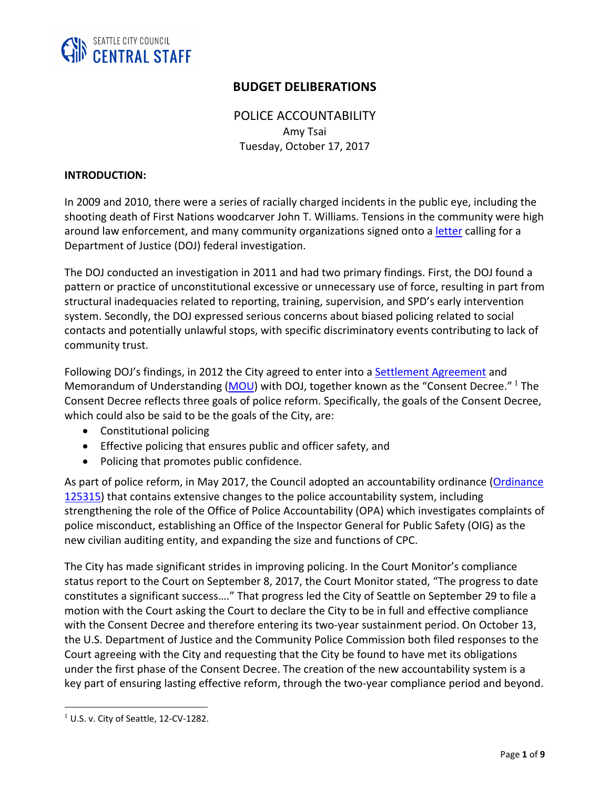

# **BUDGET DELIBERATIONS**

POLICE ACCOUNTABILITY Amy Tsai Tuesday, October 17, 2017

#### **INTRODUCTION:**

In 2009 and 2010, there were a series of racially charged incidents in the public eye, including the shooting death of First Nations woodcarver John T. Williams. Tensions in the community were high around law enforcement, and many community organizations signed onto a [letter](https://www.aclu-wa.org/sites/default/files/media-legacy/attachments/ACLU%20letter%20to%20DOJ.12.3.10.pdf) calling for a Department of Justice (DOJ) federal investigation.

The DOJ conducted an investigation in 2011 and had two primary findings. First, the DOJ found a pattern or practice of unconstitutional excessive or unnecessary use of force, resulting in part from structural inadequacies related to reporting, training, supervision, and SPD's early intervention system. Secondly, the DOJ expressed serious concerns about biased policing related to social contacts and potentially unlawful stops, with specific discriminatory events contributing to lack of community trust.

Following DOJ's findings, in 2012 the City agreed to enter into a [Settlement Agreement](https://static1.squarespace.com/static/5425b9f0e4b0d66352331e0e/t/542d82a2e4b0e604b756e932/1412268706512/DOJ_Settlement_Agreement.pdf) and Memorandum of Understanding [\(MOU](https://static1.squarespace.com/static/5425b9f0e4b0d66352331e0e/t/542d82c4e4b05b55f138dd67/1412268740152/spd_mou_7-27-12_copy.pdf)) with DOJ, together known as the "Consent Decree." <sup>1</sup> The Consent Decree reflects three goals of police reform. Specifically, the goals of the Consent Decree, which could also be said to be the goals of the City, are:

- Constitutional policing
- Effective policing that ensures public and officer safety, and
- Policing that promotes public confidence.

As part of police reform, in May 2017, the Council adopted an accountability ordinance (Ordinance [125315\)](https://seattle.legistar.com/LegislationDetail.aspx?ID=3041612&GUID=189886AB-6C46-438A-AB56-DA45AE4FCD7B&Options=Advanced&Search=) that contains extensive changes to the police accountability system, including strengthening the role of the Office of Police Accountability (OPA) which investigates complaints of police misconduct, establishing an Office of the Inspector General for Public Safety (OIG) as the new civilian auditing entity, and expanding the size and functions of CPC.

The City has made significant strides in improving policing. In the Court Monitor's compliance status report to the Court on September 8, 2017, the Court Monitor stated, "The progress to date constitutes a significant success…." That progress led the City of Seattle on September 29 to file a motion with the Court asking the Court to declare the City to be in full and effective compliance with the Consent Decree and therefore entering its two-year sustainment period. On October 13, the U.S. Department of Justice and the Community Police Commission both filed responses to the Court agreeing with the City and requesting that the City be found to have met its obligations under the first phase of the Consent Decree. The creation of the new accountability system is a key part of ensuring lasting effective reform, through the two-year compliance period and beyond.

 $\overline{a}$ 

 $1$  U.S. v. City of Seattle, 12-CV-1282.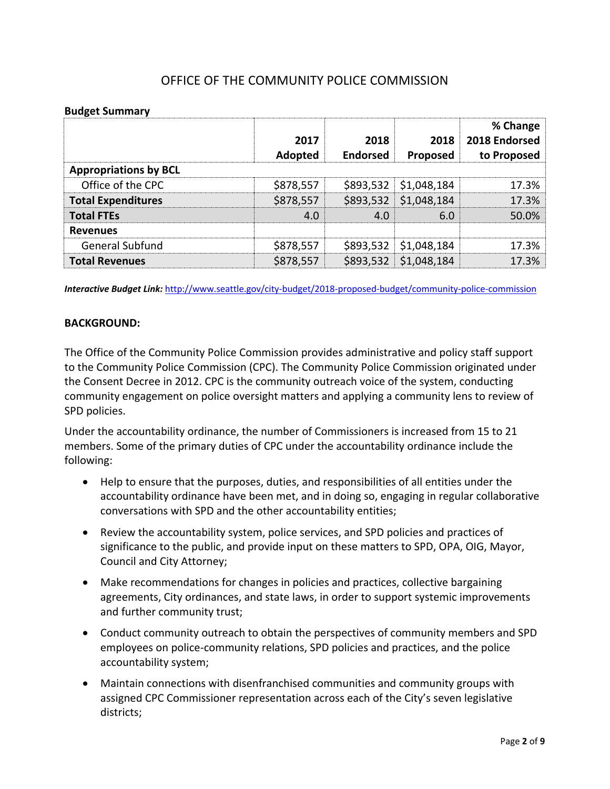# OFFICE OF THE COMMUNITY POLICE COMMISSION

#### **Budget Summary**

|                              | 2017<br>Adopted | 2018<br><b>Endorsed</b> | 2018<br>Proposed | % Change<br>2018 Endorsed<br>to Proposed |
|------------------------------|-----------------|-------------------------|------------------|------------------------------------------|
| <b>Appropriations by BCL</b> |                 |                         |                  |                                          |
| Office of the CPC            | \$878,557       | \$893,532               | \$1,048,184      | 17.3%                                    |
| <b>Total Expenditures</b>    | \$878,557       | \$893,532               | \$1,048,184      | 17.3%                                    |
| <b>Total FTEs</b>            | 4.0             | 4.0                     | 6.0              | 50.0%                                    |
| <b>Revenues</b>              |                 |                         |                  |                                          |
| General Subfund              | \$878,557       | \$893,532               | \$1,048,184      | 17.3%                                    |
| <b>Total Revenues</b>        | \$878,557       | \$893,532               | \$1,048,184      | 17.3%                                    |

*Interactive Budget Link:* <http://www.seattle.gov/city-budget/2018-proposed-budget/community-police-commission>

#### **BACKGROUND:**

The Office of the Community Police Commission provides administrative and policy staff support to the Community Police Commission (CPC). The Community Police Commission originated under the Consent Decree in 2012. CPC is the community outreach voice of the system, conducting community engagement on police oversight matters and applying a community lens to review of SPD policies.

Under the accountability ordinance, the number of Commissioners is increased from 15 to 21 members. Some of the primary duties of CPC under the accountability ordinance include the following:

- Help to ensure that the purposes, duties, and responsibilities of all entities under the accountability ordinance have been met, and in doing so, engaging in regular collaborative conversations with SPD and the other accountability entities;
- Review the accountability system, police services, and SPD policies and practices of significance to the public, and provide input on these matters to SPD, OPA, OIG, Mayor, Council and City Attorney;
- Make recommendations for changes in policies and practices, collective bargaining agreements, City ordinances, and state laws, in order to support systemic improvements and further community trust;
- Conduct community outreach to obtain the perspectives of community members and SPD employees on police-community relations, SPD policies and practices, and the police accountability system;
- Maintain connections with disenfranchised communities and community groups with assigned CPC Commissioner representation across each of the City's seven legislative districts;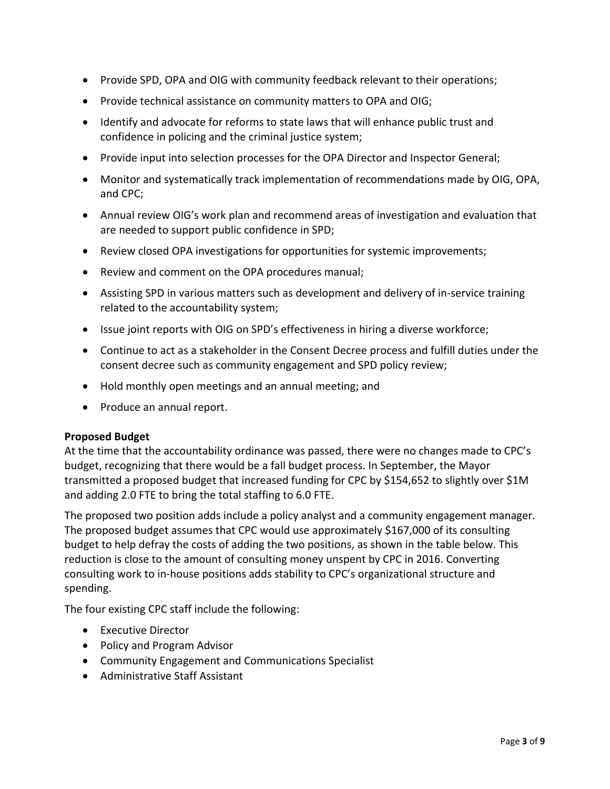- Provide SPD, OPA and OIG with community feedback relevant to their operations;
- Provide technical assistance on community matters to OPA and OIG;
- Identify and advocate for reforms to state laws that will enhance public trust and confidence in policing and the criminal justice system;
- Provide input into selection processes for the OPA Director and Inspector General;
- Monitor and systematically track implementation of recommendations made by OIG, OPA, and CPC;
- Annual review OIG's work plan and recommend areas of investigation and evaluation that are needed to support public confidence in SPD;
- Review closed OPA investigations for opportunities for systemic improvements;
- Review and comment on the OPA procedures manual;
- Assisting SPD in various matters such as development and delivery of in-service training related to the accountability system;
- Issue joint reports with OIG on SPD's effectiveness in hiring a diverse workforce;
- Continue to act as a stakeholder in the Consent Decree process and fulfill duties under the consent decree such as community engagement and SPD policy review;
- Hold monthly open meetings and an annual meeting; and
- Produce an annual report.

### **Proposed Budget**

At the time that the accountability ordinance was passed, there were no changes made to CPC's budget, recognizing that there would be a fall budget process. In September, the Mayor transmitted a proposed budget that increased funding for CPC by \$154,652 to slightly over \$1M and adding 2.0 FTE to bring the total staffing to 6.0 FTE.

The proposed two position adds include a policy analyst and a community engagement manager. The proposed budget assumes that CPC would use approximately \$167,000 of its consulting budget to help defray the costs of adding the two positions, as shown in the table below. This reduction is close to the amount of consulting money unspent by CPC in 2016. Converting consulting work to in-house positions adds stability to CPC's organizational structure and spending.

The four existing CPC staff include the following:

- Executive Director
- Policy and Program Advisor
- Community Engagement and Communications Specialist
- Administrative Staff Assistant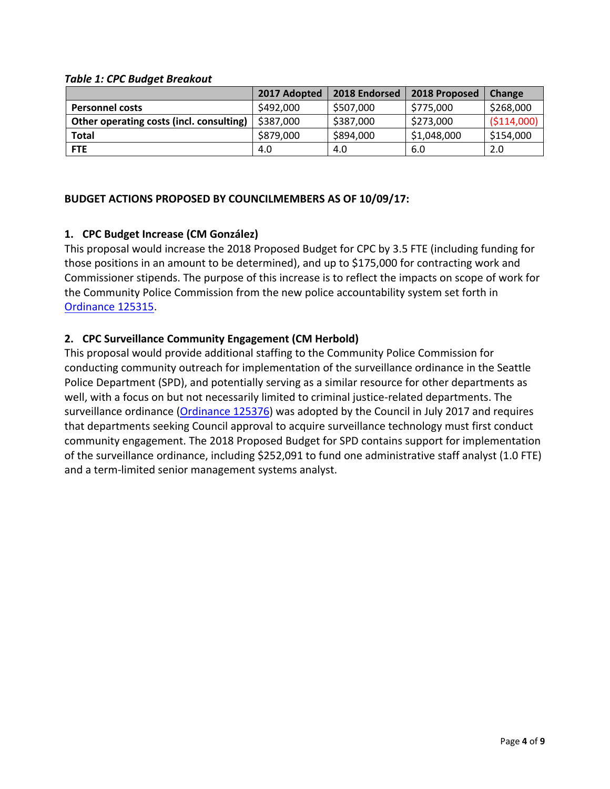#### *Table 1: CPC Budget Breakout*

|                                          | 2017 Adopted | 2018 Endorsed | 2018 Proposed | Change       |
|------------------------------------------|--------------|---------------|---------------|--------------|
| <b>Personnel costs</b>                   | \$492,000    | \$507,000     | \$775,000     | \$268,000    |
| Other operating costs (incl. consulting) | \$387,000    | \$387,000     | \$273,000     | ( \$114,000) |
| <b>Total</b>                             | \$879,000    | \$894,000     | \$1,048,000   | \$154,000    |
| <b>FTE</b>                               | 4.0          | 4.0           | 6.0           | 2.0          |

### **BUDGET ACTIONS PROPOSED BY COUNCILMEMBERS AS OF 10/09/17:**

# **1. CPC Budget Increase (CM González)**

This proposal would increase the 2018 Proposed Budget for CPC by 3.5 FTE (including funding for those positions in an amount to be determined), and up to \$175,000 for contracting work and Commissioner stipends. The purpose of this increase is to reflect the impacts on scope of work for the Community Police Commission from the new police accountability system set forth in [Ordinance 125315.](https://seattle.legistar.com/LegislationDetail.aspx?ID=3041612&GUID=189886AB-6C46-438A-AB56-DA45AE4FCD7B&Options=Advanced&Search=)

### **2. CPC Surveillance Community Engagement (CM Herbold)**

This proposal would provide additional staffing to the Community Police Commission for conducting community outreach for implementation of the surveillance ordinance in the Seattle Police Department (SPD), and potentially serving as a similar resource for other departments as well, with a focus on but not necessarily limited to criminal justice-related departments. The surveillance ordinance [\(Ordinance 125376\)](https://seattle.legistar.com/LegislationDetail.aspx?ID=2981172&GUID=0B2FEFC0-822F-4907-9409-E318537E5330&Options=Advanced&Search=) was adopted by the Council in July 2017 and requires that departments seeking Council approval to acquire surveillance technology must first conduct community engagement. The 2018 Proposed Budget for SPD contains support for implementation of the surveillance ordinance, including \$252,091 to fund one administrative staff analyst (1.0 FTE) and a term-limited senior management systems analyst.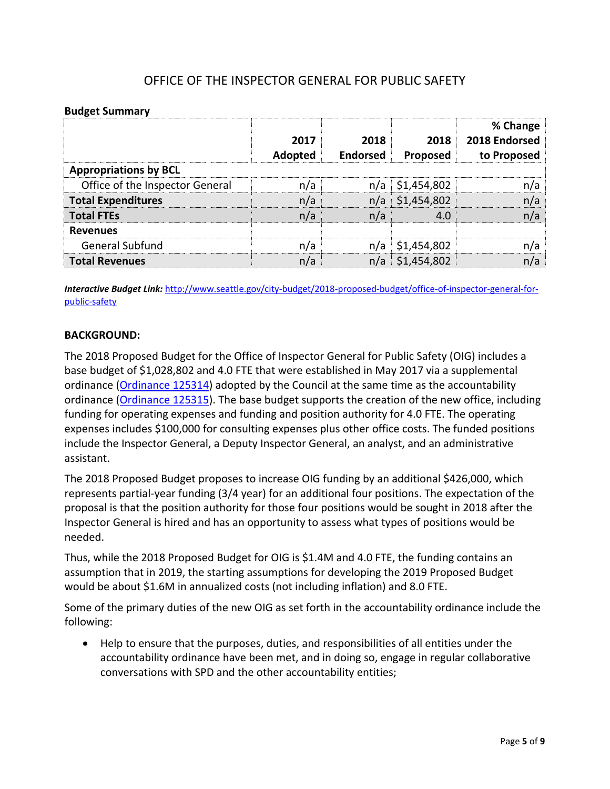# OFFICE OF THE INSPECTOR GENERAL FOR PUBLIC SAFETY

#### **Budget Summary**

|                                 | 2017<br>Adopted | 2018<br><b>Endorsed</b> | 2018<br>Proposed | % Change<br>2018 Endorsed<br>to Proposed |
|---------------------------------|-----------------|-------------------------|------------------|------------------------------------------|
| <b>Appropriations by BCL</b>    |                 |                         |                  |                                          |
| Office of the Inspector General | n/a             | n/a                     | \$1,454,802      | n/a                                      |
| <b>Total Expenditures</b>       | n/a             | n/a                     | \$1,454,802      | n/a                                      |
| <b>Total FTEs</b>               | n/a             | n/a                     | 4.0              | n/a                                      |
| <b>Revenues</b>                 |                 |                         |                  |                                          |
| General Subfund                 | n/a             | n/a                     | \$1,454,802      | n/a                                      |
| <b>Total Revenues</b>           | n/a             | n/a                     | \$1,454,802      | n/a                                      |

*Interactive Budget Link:* [http://www.seattle.gov/city-budget/2018-proposed-budget/office-of-inspector-general-for](http://www.seattle.gov/city-budget/2018-proposed-budget/office-of-inspector-general-for-public-safety)[public-safety](http://www.seattle.gov/city-budget/2018-proposed-budget/office-of-inspector-general-for-public-safety)

#### **BACKGROUND:**

The 2018 Proposed Budget for the Office of Inspector General for Public Safety (OIG) includes a base budget of \$1,028,802 and 4.0 FTE that were established in May 2017 via a supplemental ordinance [\(Ordinance 125314\)](https://seattle.legistar.com/LegislationDetail.aspx?ID=2953600&GUID=F8791AED-EAE5-44DD-AF92-B5A19550DD24&Options=Advanced&Search=) adopted by the Council at the same time as the accountability ordinance [\(Ordinance 125315\)](https://seattle.legistar.com/LegislationDetail.aspx?ID=3041612&GUID=189886AB-6C46-438A-AB56-DA45AE4FCD7B&Options=Advanced&Search=). The base budget supports the creation of the new office, including funding for operating expenses and funding and position authority for 4.0 FTE. The operating expenses includes \$100,000 for consulting expenses plus other office costs. The funded positions include the Inspector General, a Deputy Inspector General, an analyst, and an administrative assistant.

The 2018 Proposed Budget proposes to increase OIG funding by an additional \$426,000, which represents partial-year funding (3/4 year) for an additional four positions. The expectation of the proposal is that the position authority for those four positions would be sought in 2018 after the Inspector General is hired and has an opportunity to assess what types of positions would be needed.

Thus, while the 2018 Proposed Budget for OIG is \$1.4M and 4.0 FTE, the funding contains an assumption that in 2019, the starting assumptions for developing the 2019 Proposed Budget would be about \$1.6M in annualized costs (not including inflation) and 8.0 FTE.

Some of the primary duties of the new OIG as set forth in the accountability ordinance include the following:

• Help to ensure that the purposes, duties, and responsibilities of all entities under the accountability ordinance have been met, and in doing so, engage in regular collaborative conversations with SPD and the other accountability entities;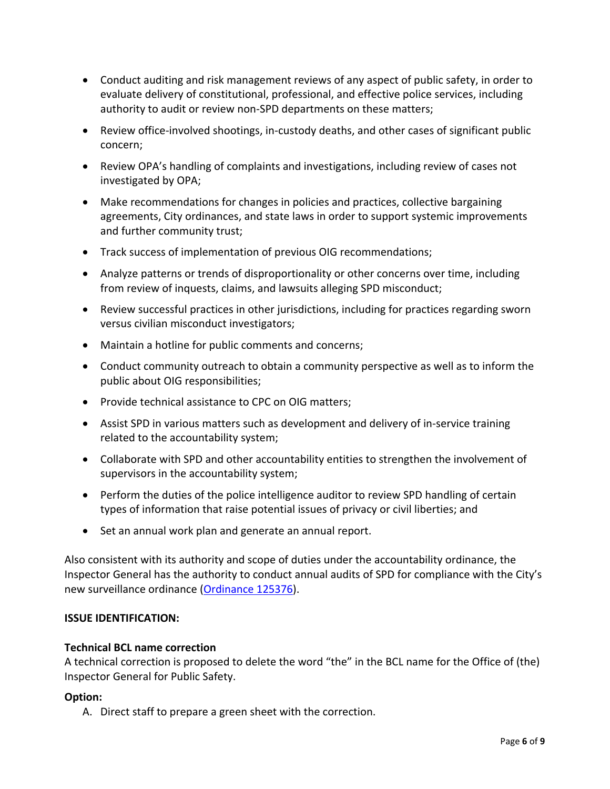- Conduct auditing and risk management reviews of any aspect of public safety, in order to evaluate delivery of constitutional, professional, and effective police services, including authority to audit or review non-SPD departments on these matters;
- Review office-involved shootings, in-custody deaths, and other cases of significant public concern;
- Review OPA's handling of complaints and investigations, including review of cases not investigated by OPA;
- Make recommendations for changes in policies and practices, collective bargaining agreements, City ordinances, and state laws in order to support systemic improvements and further community trust;
- Track success of implementation of previous OIG recommendations;
- Analyze patterns or trends of disproportionality or other concerns over time, including from review of inquests, claims, and lawsuits alleging SPD misconduct;
- Review successful practices in other jurisdictions, including for practices regarding sworn versus civilian misconduct investigators;
- Maintain a hotline for public comments and concerns;
- Conduct community outreach to obtain a community perspective as well as to inform the public about OIG responsibilities;
- Provide technical assistance to CPC on OIG matters;
- Assist SPD in various matters such as development and delivery of in-service training related to the accountability system;
- Collaborate with SPD and other accountability entities to strengthen the involvement of supervisors in the accountability system;
- Perform the duties of the police intelligence auditor to review SPD handling of certain types of information that raise potential issues of privacy or civil liberties; and
- Set an annual work plan and generate an annual report.

Also consistent with its authority and scope of duties under the accountability ordinance, the Inspector General has the authority to conduct annual audits of SPD for compliance with the City's new surveillance ordinance [\(Ordinance 125376\)](https://seattle.legistar.com/LegislationDetail.aspx?ID=2981172&GUID=0B2FEFC0-822F-4907-9409-E318537E5330&Options=Advanced&Search=).

# **ISSUE IDENTIFICATION:**

### **Technical BCL name correction**

A technical correction is proposed to delete the word "the" in the BCL name for the Office of (the) Inspector General for Public Safety.

### **Option:**

A. Direct staff to prepare a green sheet with the correction.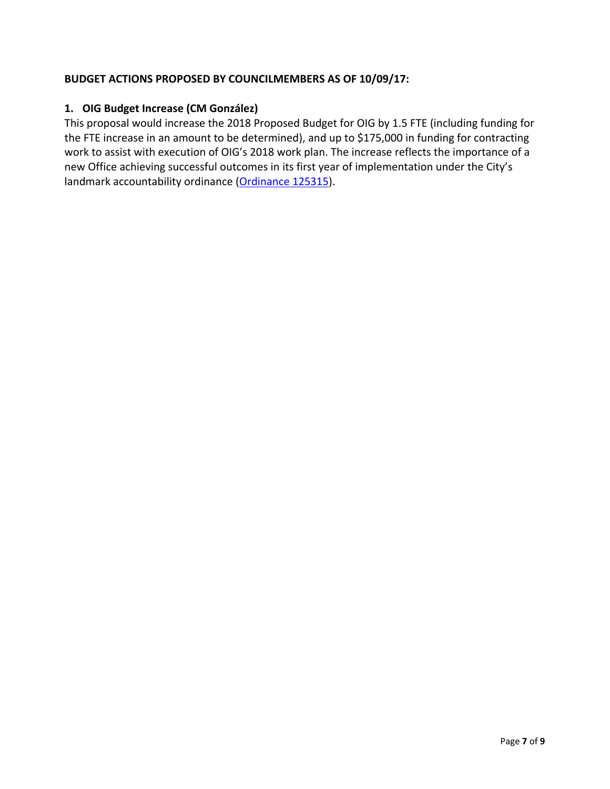# **BUDGET ACTIONS PROPOSED BY COUNCILMEMBERS AS OF 10/09/17:**

### **1. OIG Budget Increase (CM González)**

This proposal would increase the 2018 Proposed Budget for OIG by 1.5 FTE (including funding for the FTE increase in an amount to be determined), and up to \$175,000 in funding for contracting work to assist with execution of OIG's 2018 work plan. The increase reflects the importance of a new Office achieving successful outcomes in its first year of implementation under the City's landmark accountability ordinance [\(Ordinance 125315\)](https://seattle.legistar.com/LegislationDetail.aspx?ID=3041612&GUID=189886AB-6C46-438A-AB56-DA45AE4FCD7B&Options=Advanced&Search=).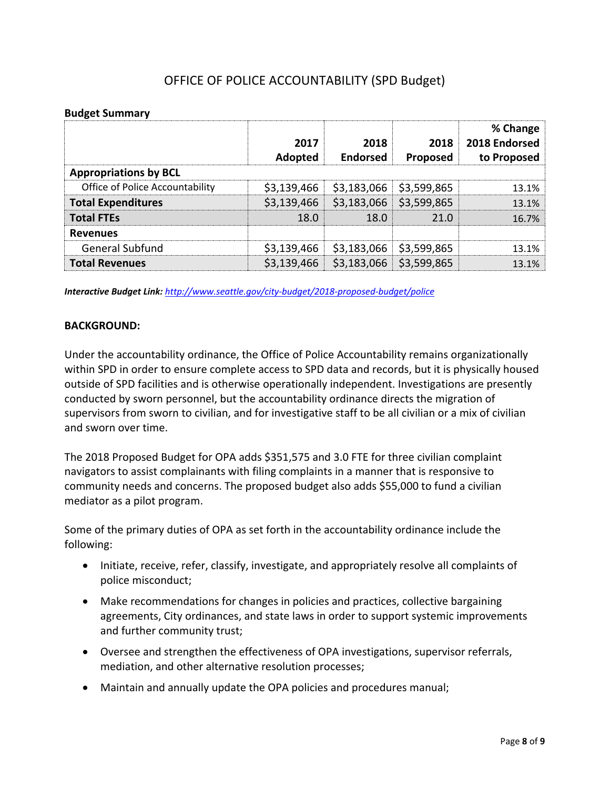# OFFICE OF POLICE ACCOUNTABILITY (SPD Budget)

#### **Budget Summary**

|                                        | 2017<br>Adopted | 2018<br><b>Endorsed</b> | 2018<br>Proposed | % Change<br>2018 Endorsed<br>to Proposed |  |
|----------------------------------------|-----------------|-------------------------|------------------|------------------------------------------|--|
| <b>Appropriations by BCL</b>           |                 |                         |                  |                                          |  |
| <b>Office of Police Accountability</b> | \$3,139,466     | \$3,183,066             | \$3,599,865      | 13.1%                                    |  |
| <b>Total Expenditures</b>              | \$3,139,466     | \$3,183,066             | \$3,599,865      | 13.1%                                    |  |
| <b>Total FTEs</b>                      | 18.0            | 18.0                    | 21.0             | 16.7%                                    |  |
| <b>Revenues</b>                        |                 |                         |                  |                                          |  |
| General Subfund                        | \$3,139,466     | \$3,183,066             | \$3,599,865      | 13.1%                                    |  |
| <b>Total Revenues</b>                  | \$3,139,466     | \$3,183,066             | \$3,599,865      | 13.1%                                    |  |

*Interactive Budget Link: <http://www.seattle.gov/city-budget/2018-proposed-budget/police>*

#### **BACKGROUND:**

Under the accountability ordinance, the Office of Police Accountability remains organizationally within SPD in order to ensure complete access to SPD data and records, but it is physically housed outside of SPD facilities and is otherwise operationally independent. Investigations are presently conducted by sworn personnel, but the accountability ordinance directs the migration of supervisors from sworn to civilian, and for investigative staff to be all civilian or a mix of civilian and sworn over time.

The 2018 Proposed Budget for OPA adds \$351,575 and 3.0 FTE for three civilian complaint navigators to assist complainants with filing complaints in a manner that is responsive to community needs and concerns. The proposed budget also adds \$55,000 to fund a civilian mediator as a pilot program.

Some of the primary duties of OPA as set forth in the accountability ordinance include the following:

- Initiate, receive, refer, classify, investigate, and appropriately resolve all complaints of police misconduct;
- Make recommendations for changes in policies and practices, collective bargaining agreements, City ordinances, and state laws in order to support systemic improvements and further community trust;
- Oversee and strengthen the effectiveness of OPA investigations, supervisor referrals, mediation, and other alternative resolution processes;
- Maintain and annually update the OPA policies and procedures manual;